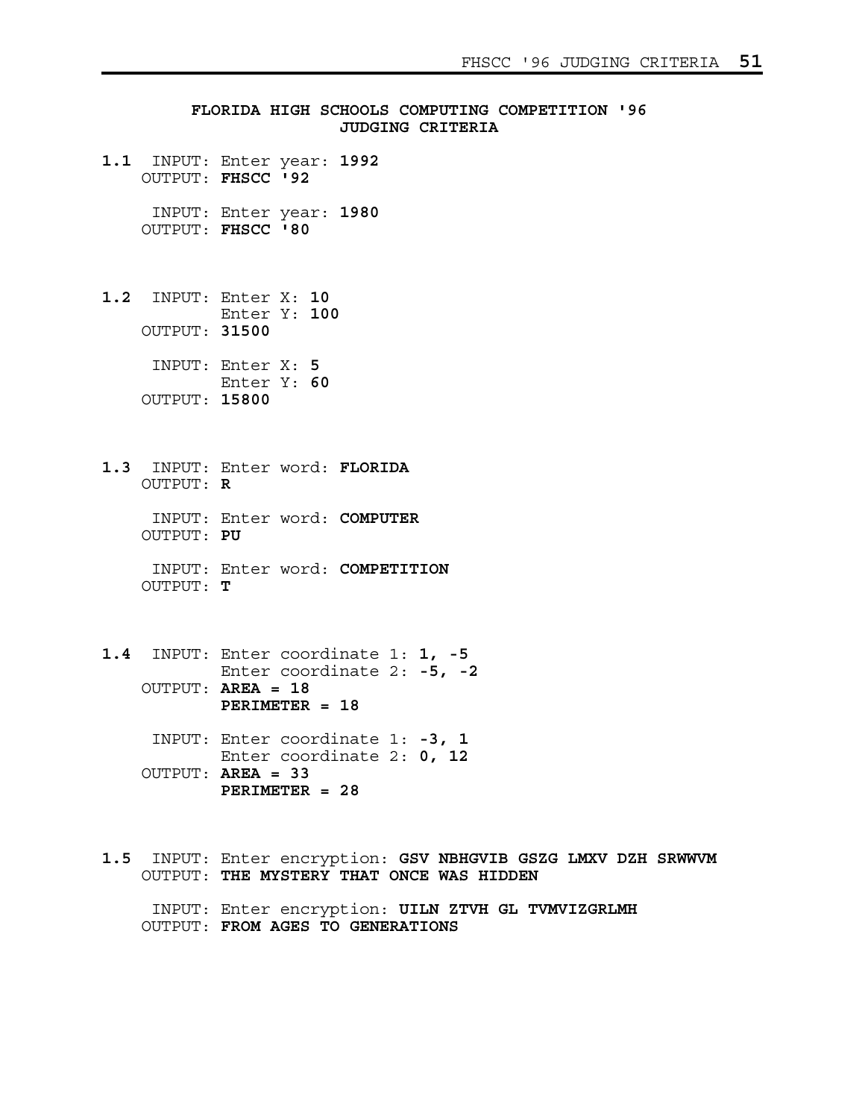**FLORIDA HIGH SCHOOLS COMPUTING COMPETITION '96 JUDGING CRITERIA 1.1** INPUT: Enter year: **1992** OUTPUT: **FHSCC '92** INPUT: Enter year: **1980** OUTPUT: **FHSCC '80 1.2** INPUT: Enter X: **10** Enter Y: **100** OUTPUT: **31500** INPUT: Enter X: **5** Enter Y: **60** OUTPUT: **15800 1.3** INPUT: Enter word: **FLORIDA** OUTPUT: **R** INPUT: Enter word: **COMPUTER** OUTPUT: **PU** INPUT: Enter word: **COMPETITION** OUTPUT: **T 1.4** INPUT: Enter coordinate 1: **1, -5** Enter coordinate 2: **-5, -2** OUTPUT: **AREA = 18 PERIMETER = 18** INPUT: Enter coordinate 1: **-3, 1** Enter coordinate 2: **0, 12** OUTPUT: **AREA = 33 PERIMETER = 28**

**1.5** INPUT: Enter encryption: **GSV NBHGVIB GSZG LMXV DZH SRWWVM** OUTPUT: **THE MYSTERY THAT ONCE WAS HIDDEN** INPUT: Enter encryption: **UILN ZTVH GL TVMVIZGRLMH** OUTPUT: **FROM AGES TO GENERATIONS**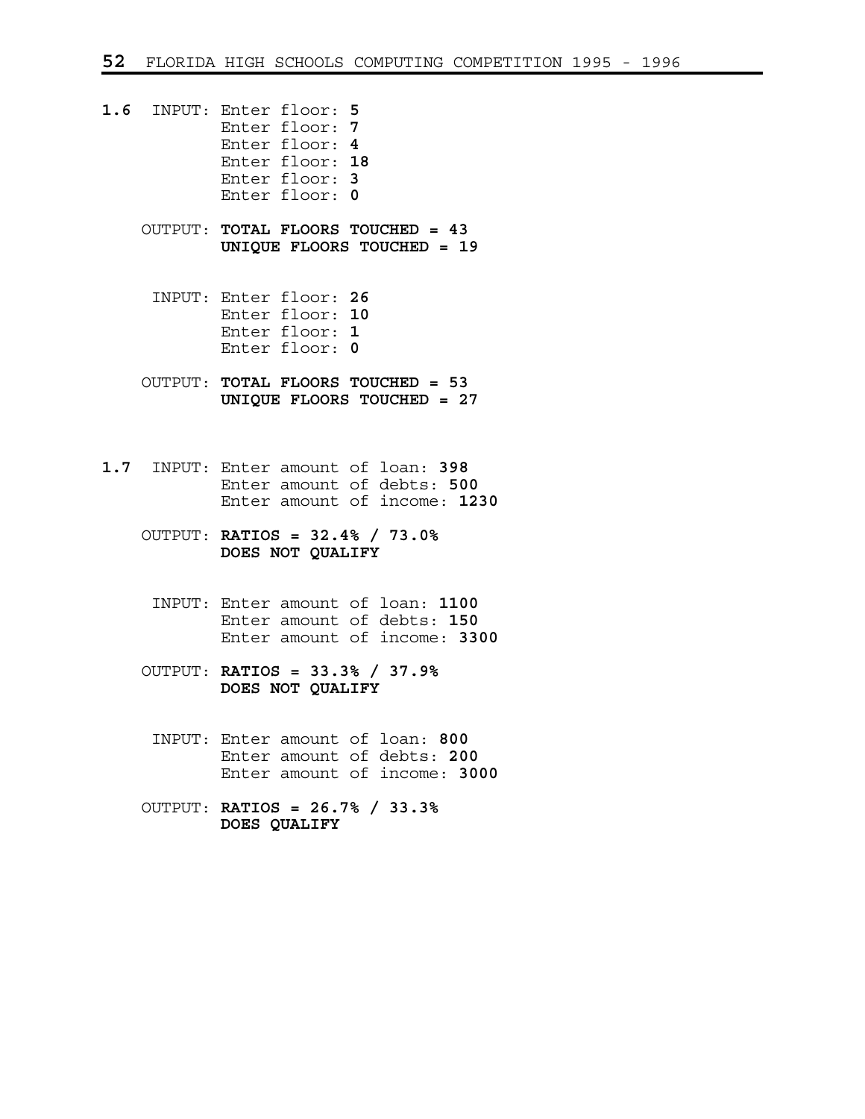- **1.6** INPUT: Enter floor: **5** Enter floor: **7** Enter floor: **4** Enter floor: **18** Enter floor: **3** Enter floor: **0**
	- OUTPUT: **TOTAL FLOORS TOUCHED = 43 UNIQUE FLOORS TOUCHED = 19**
		- INPUT: Enter floor: **26** Enter floor: **10** Enter floor: **1** Enter floor: **0**
	- OUTPUT: **TOTAL FLOORS TOUCHED = 53 UNIQUE FLOORS TOUCHED = 27**
- **1.7** INPUT: Enter amount of loan: **398** Enter amount of debts: **500** Enter amount of income: **1230**
	- OUTPUT: **RATIOS = 32.4% / 73.0% DOES NOT QUALIFY**
		- INPUT: Enter amount of loan: **1100** Enter amount of debts: **150** Enter amount of income: **3300**
	- OUTPUT: **RATIOS = 33.3% / 37.9% DOES NOT QUALIFY**
		- INPUT: Enter amount of loan: **800** Enter amount of debts: **200** Enter amount of income: **3000**
	- OUTPUT: **RATIOS = 26.7% / 33.3% DOES QUALIFY**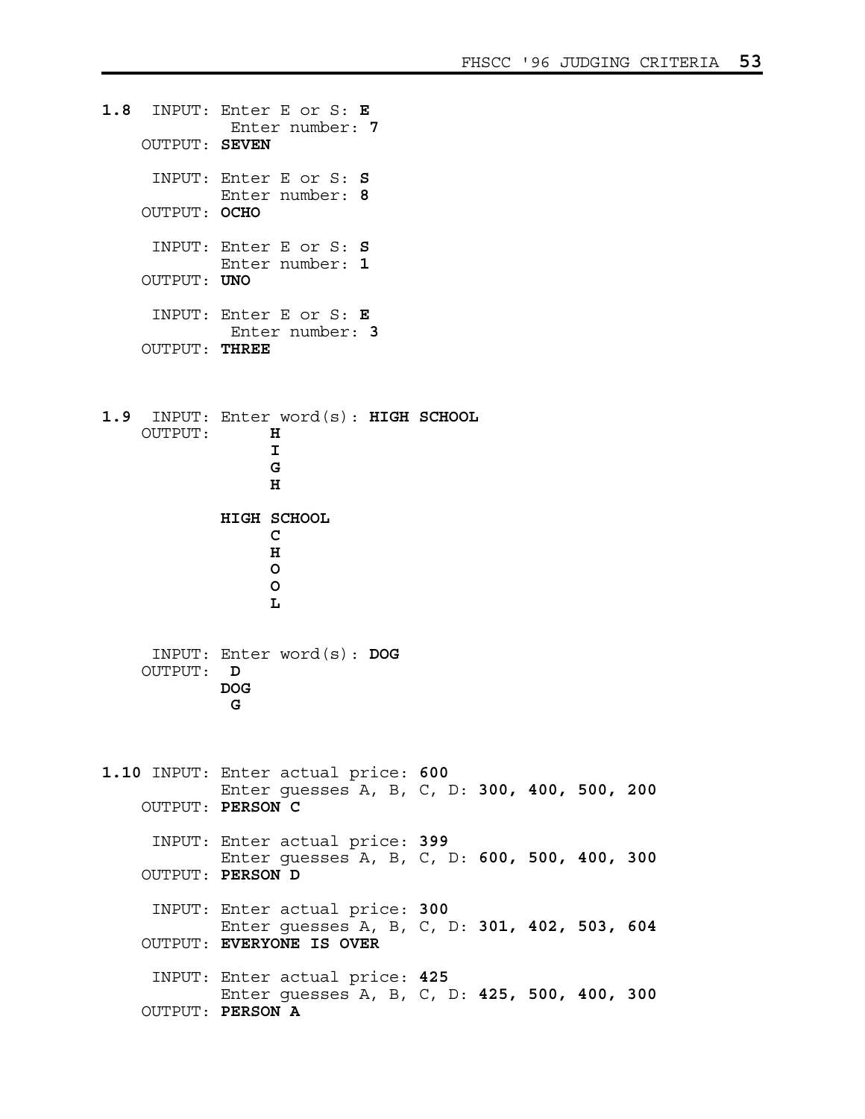**1.8** INPUT: Enter E or S: **E** Enter number: **7** OUTPUT: **SEVEN** INPUT: Enter E or S: **S** Enter number: **8** OUTPUT: **OCHO** INPUT: Enter E or S: **S** Enter number: **1** OUTPUT: **UNO** INPUT: Enter E or S: **E** Enter number: **3** OUTPUT: **THREE 1.9** INPUT: Enter word(s): **HIGH SCHOOL** OUTPUT: **H**   $\mathbf{I}$  **I G** G **G** G **G** *H*  **HIGH SCHOOL C C** *H* **b**  $\overline{O}$ **b**  $\overline{O}$  **L** INPUT: Enter word(s): **DOG** OUTPUT: **D DOG G 1.10** INPUT: Enter actual price: **600** Enter guesses A, B, C, D: **300, 400, 500, 200** OUTPUT: **PERSON C** INPUT: Enter actual price: **399** Enter guesses A, B, C, D: **600, 500, 400, 300** OUTPUT: **PERSON D** INPUT: Enter actual price: **300** Enter guesses A, B, C, D: **301, 402, 503, 604** OUTPUT: **EVERYONE IS OVER** INPUT: Enter actual price: **425** Enter guesses A, B, C, D: **425, 500, 400, 300** OUTPUT: **PERSON A**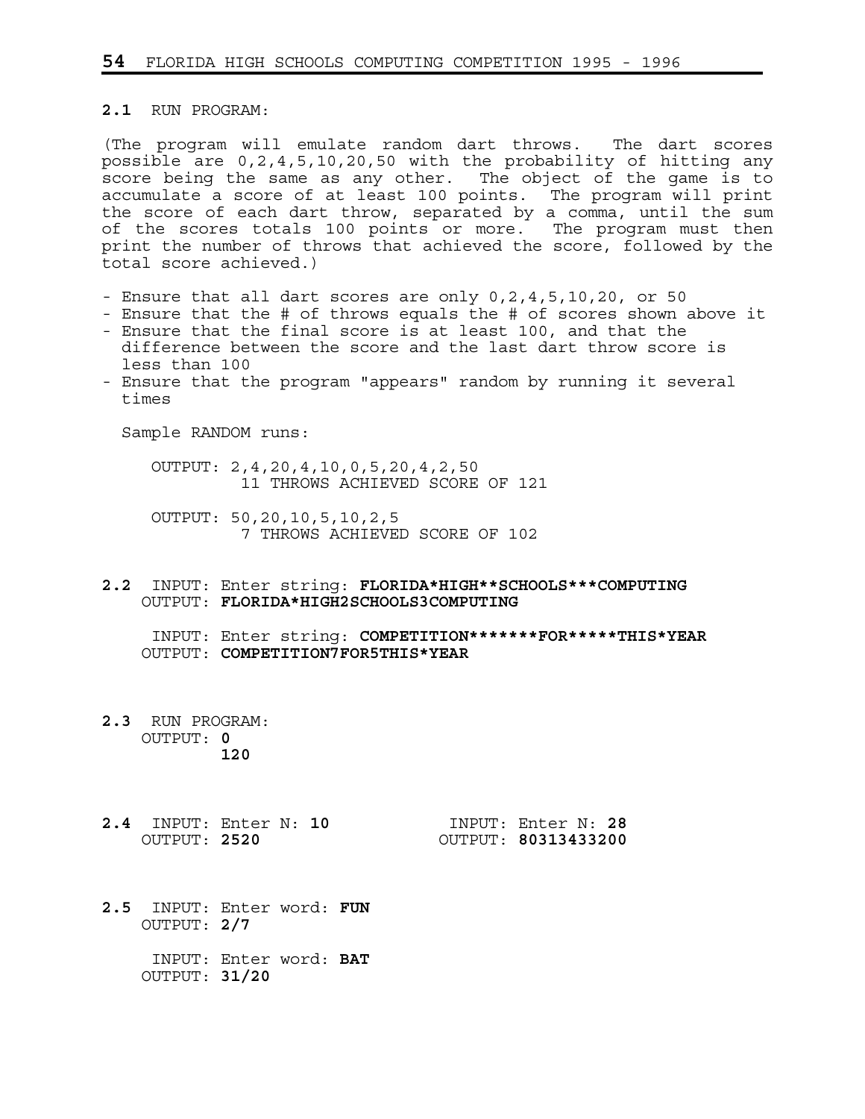## **2.1** RUN PROGRAM:

(The program will emulate random dart throws. The dart scores possible are 0,2,4,5,10,20,50 with the probability of hitting any score being the same as any other. The object of the game is to accumulate a score of at least 100 points. The program will print the score of each dart throw, separated by a comma, until the sum of the scores totals 100 points or more. The program must then print the number of throws that achieved the score, followed by the total score achieved.)

- Ensure that all dart scores are only 0,2,4,5,10,20, or 50
- Ensure that the # of throws equals the # of scores shown above it - Ensure that the final score is at least 100, and that the
- difference between the score and the last dart throw score is less than 100
- Ensure that the program "appears" random by running it several times

Sample RANDOM runs:

 OUTPUT: 2,4,20,4,10,0,5,20,4,2,50 11 THROWS ACHIEVED SCORE OF 121

 OUTPUT: 50,20,10,5,10,2,5 7 THROWS ACHIEVED SCORE OF 102

**2.2** INPUT: Enter string: **FLORIDA\*HIGH\*\*SCHOOLS\*\*\*COMPUTING** OUTPUT: **FLORIDA\*HIGH2SCHOOLS3COMPUTING**

 INPUT: Enter string: **COMPETITION\*\*\*\*\*\*\*FOR\*\*\*\*\*THIS\*YEAR** OUTPUT: **COMPETITION7FOR5THIS\*YEAR**

- **2.3** RUN PROGRAM: OUTPUT: **0 120**
- **2.4** INPUT: Enter N: **10** INPUT: Enter N: **28** OUTPUT: **2520** OUTPUT: **80313433200**

- **2.5** INPUT: Enter word: **FUN** OUTPUT: **2/7**
	- INPUT: Enter word: **BAT** OUTPUT: **31/20**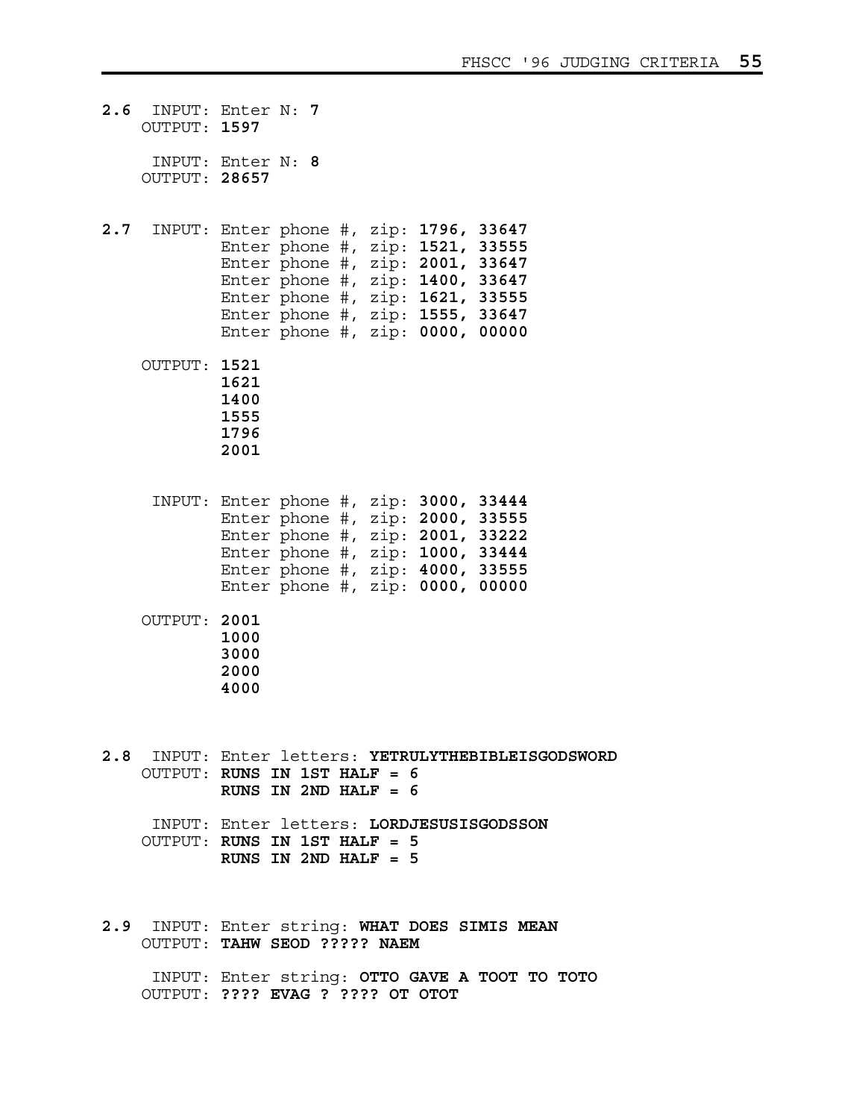| 2.6 | OUTPUT: 1597  | INPUT: Enter N: 7                                                                                                                                                                                                                                                 |
|-----|---------------|-------------------------------------------------------------------------------------------------------------------------------------------------------------------------------------------------------------------------------------------------------------------|
|     | OUTPUT: 28657 | INPUT: Enter N: 8                                                                                                                                                                                                                                                 |
|     |               | 2.7 INPUT: Enter phone #, zip: 1796, 33647<br>Enter phone #, zip: 1521, 33555<br>Enter phone #, zip: 2001, 33647<br>Enter phone #, $zip: 1400, 33647$<br>Enter phone #, zip: 1621, 33555<br>Enter phone #, zip: 1555, 33647<br>Enter phone #, zip: $0000$ , 00000 |
|     | OUTPUT: 1521  | 1621<br>1400<br>1555<br>1796<br>2001                                                                                                                                                                                                                              |
|     |               | INPUT: Enter phone #, zip: 3000, 33444<br>Enter phone #, zip: 2000, 33555<br>Enter phone #, $zip: 2001, 33222$<br>Enter phone #, $zip: 1000, 33444$<br>Enter phone #, zip: 4000, 33555<br>Enter phone #, $zip: 0000, 00000$                                       |
|     | OUTPUT: 2001  | 1000<br>3000<br>2000<br>4000                                                                                                                                                                                                                                      |
|     |               | 2.8 INPUT: Enter letters: YETRULYTHEBIBLEISGODSWORD<br>OUTPUT: RUNS IN 1ST HALF = 6<br>RUNS IN 2ND HALF = $6$                                                                                                                                                     |
|     |               | INPUT: Enter letters: LORDJESUSISGODSSON<br>OUTPUT: RUNS IN 1ST HALF = 5<br>RUNS IN $2ND$ HALF = 5                                                                                                                                                                |
|     |               | 2.9 INPUT: Enter string: WHAT DOES SIMIS MEAN<br>OUTPUT: TAHW SEOD ????? NAEM                                                                                                                                                                                     |
|     |               | INPUT: Enter string: OTTO GAVE A TOOT TO TOTO                                                                                                                                                                                                                     |

OUTPUT: **???? EVAG ? ???? OT OTOT**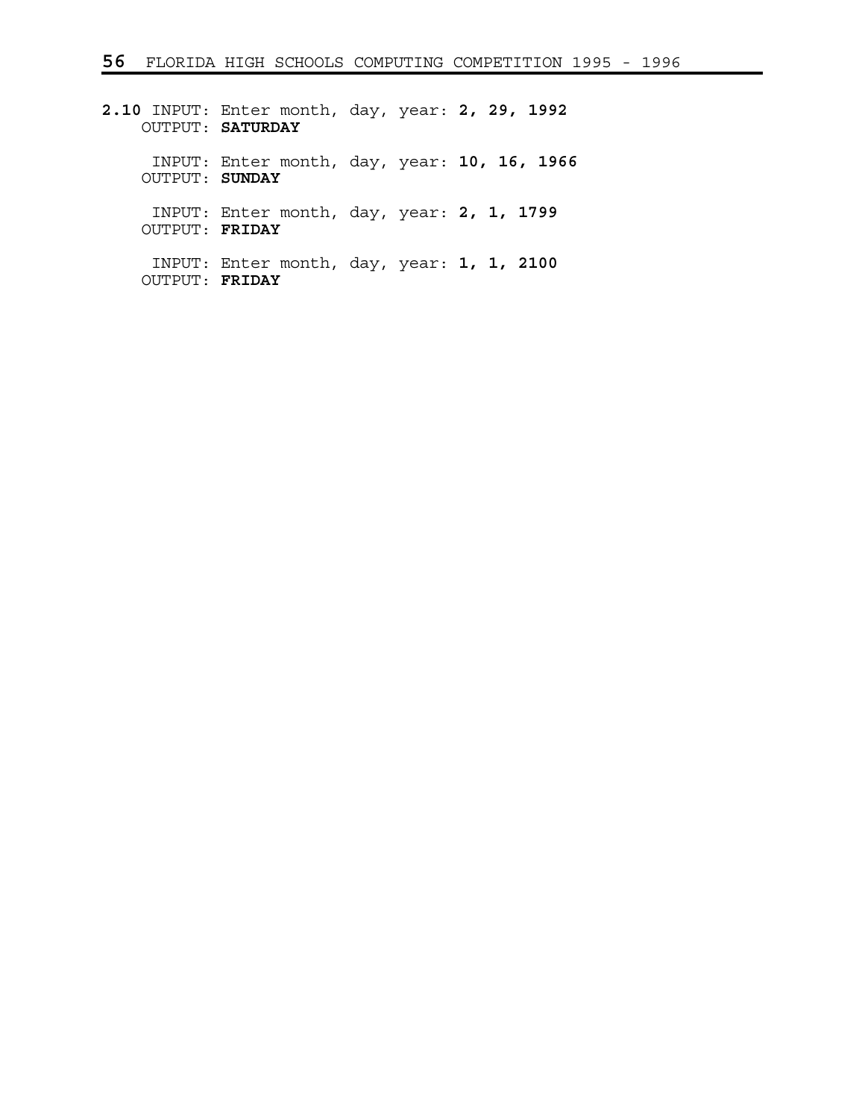**2.10** INPUT: Enter month, day, year: **2, 29, 1992** OUTPUT: **SATURDAY** INPUT: Enter month, day, year: **10, 16, 1966** OUTPUT: **SUNDAY** INPUT: Enter month, day, year: **2, 1, 1799** OUTPUT: **FRIDAY** INPUT: Enter month, day, year: **1, 1, 2100** OUTPUT: **FRIDAY**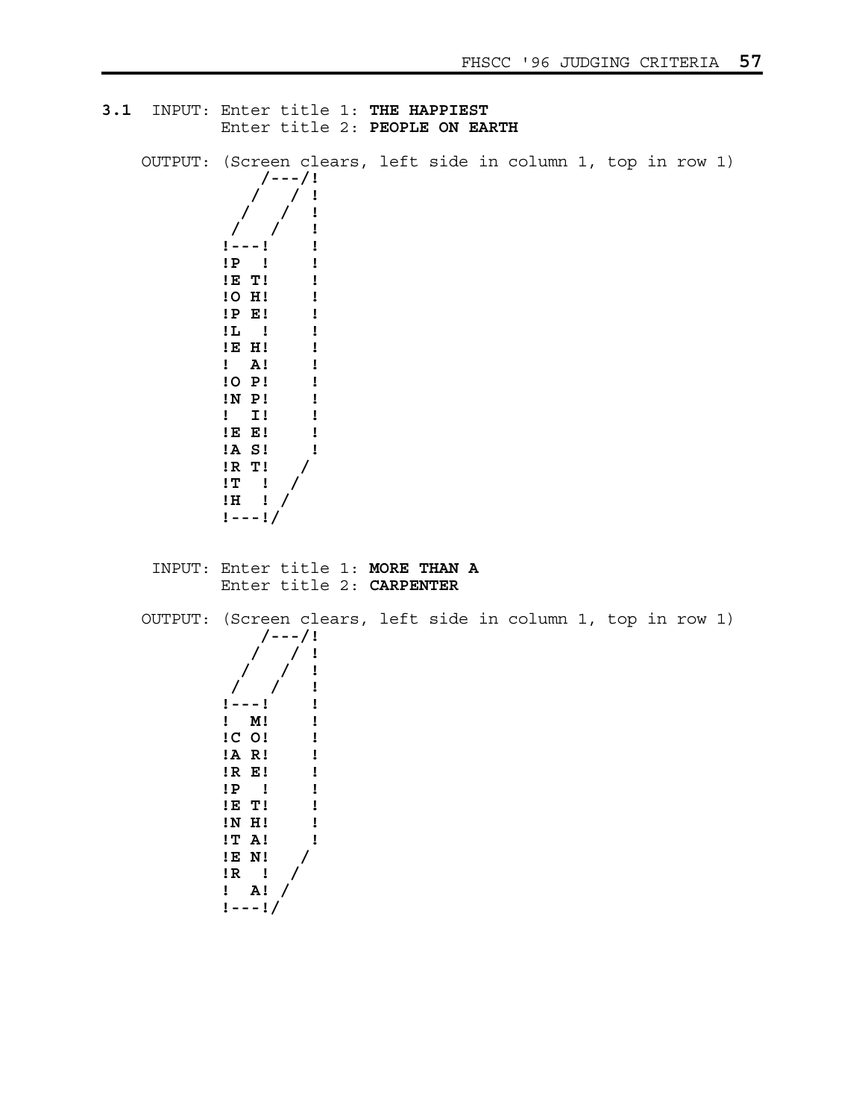```
3.1 INPUT: Enter title 1: THE HAPPIEST
            Enter title 2: PEOPLE ON EARTH
    OUTPUT: (Screen clears, left side in column 1, top in row 1)
                /---/! 
                / / ! 
              / / ! 
/ / ! 
             !---! ! 
            !P ! ! 
            !E T! ! 
            !O H! ! 
            !P E! ! 
            !L ! ! 
            !E H! ! 
            ! A! ! 
            !O P! ! 
            !N P! ! 
            ! I! ! 
            !E E! ! 
            !A S! ! 
            !R T! / 
            !T ! / 
            !H ! / 
            !---!/
     INPUT: Enter title 1: MORE THAN A
            Enter title 2: CARPENTER
    OUTPUT: (Screen clears, left side in column 1, top in row 1)
                /---/! 
                   / / ! 
/ / ! 
/ / ! 
             !---! ! 
            ! M! ! 
            !C O! ! 
            !A R! ! 
            !R E! ! 
            !P ! ! 
            !E T! ! 
            !N H! ! 
            !T A! ! 
            !E N! / 
           \begin{array}{ccc} \n \cdot & \cdot & \cdot \\
\cdot & \cdot & \cdot\n \end{array} ! A! / 
            !---!/
```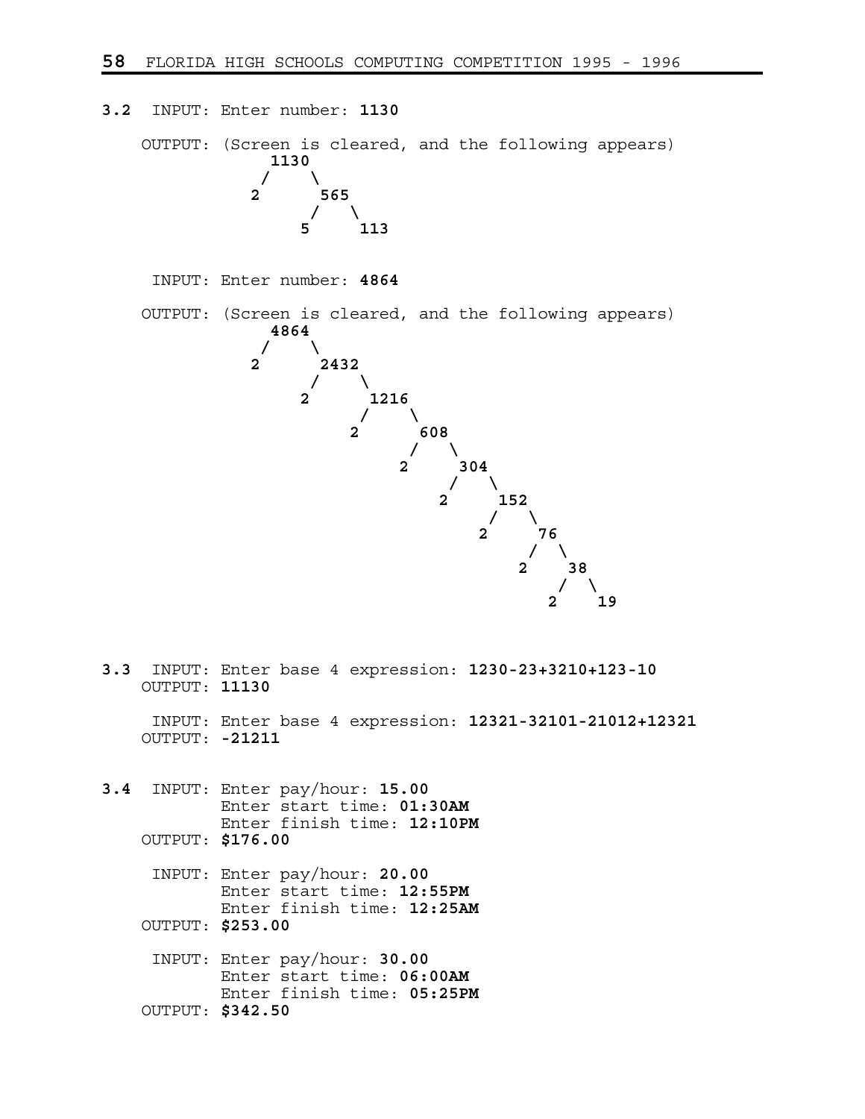**3.2** INPUT: Enter number: **1130** OUTPUT: (Screen is cleared, and the following appears) **1130**   $\prime$  /  $\prime$  /  $\prime$  **2 565**   $\frac{1}{2}$  /  $\frac{1}{2}$ **113**  INPUT: Enter number: **4864** OUTPUT: (Screen is cleared, and the following appears) **4864**   $\prime$  /  $\prime$  /  $\prime$  **2 2432**   $\frac{1}{2}$  /  $\frac{1}{2}$  /  $\frac{1}{2}$  **2 1216**   $\frac{1}{2}$  /  $\frac{1}{2}$  **2 608**   $\frac{1}{2}$   $\frac{1}{2}$   $\frac{1}{2}$   $\frac{1}{2}$   $\frac{1}{2}$   $\frac{1}{2}$   $\frac{1}{2}$   $\frac{1}{2}$   $\frac{1}{2}$   $\frac{1}{2}$   $\frac{1}{2}$   $\frac{1}{2}$   $\frac{1}{2}$   $\frac{1}{2}$   $\frac{1}{2}$   $\frac{1}{2}$   $\frac{1}{2}$   $\frac{1}{2}$   $\frac{1}{2}$   $\frac{1}{2}$   $\frac{1}{2}$   $\frac{1}{2}$  **2** 304  $\frac{1}{2}$  /  $\frac{1}{2}$  /  $\frac{1}{2}$  **2 152 / \ 2 76**   $\sqrt{2}$  **2 38**   $\frac{1}{2}$   $\frac{1}{2}$   $\frac{1}{2}$   $\frac{1}{2}$   $\frac{1}{2}$   $\frac{1}{2}$   $\frac{1}{2}$   $\frac{1}{2}$   $\frac{1}{2}$   $\frac{1}{2}$   $\frac{1}{2}$   $\frac{1}{2}$   $\frac{1}{2}$   $\frac{1}{2}$   $\frac{1}{2}$   $\frac{1}{2}$   $\frac{1}{2}$   $\frac{1}{2}$   $\frac{1}{2}$   $\frac{1}{2}$   $\frac{1}{2}$   $\frac{1}{2}$   **2 19 3.3** INPUT: Enter base 4 expression: **1230-23+3210+123-10** OUTPUT: **11130** INPUT: Enter base 4 expression: **12321-32101-21012+12321** OUTPUT: **-21211 3.4** INPUT: Enter pay/hour: **15.00** Enter start time: **01:30AM** Enter finish time: **12:10PM** OUTPUT: **\$176.00** INPUT: Enter pay/hour: **20.00** Enter start time: **12:55PM** Enter finish time: **12:25AM** OUTPUT: **\$253.00** INPUT: Enter pay/hour: **30.00**

 Enter start time: **06:00AM** Enter finish time: **05:25PM** OUTPUT: **\$342.50**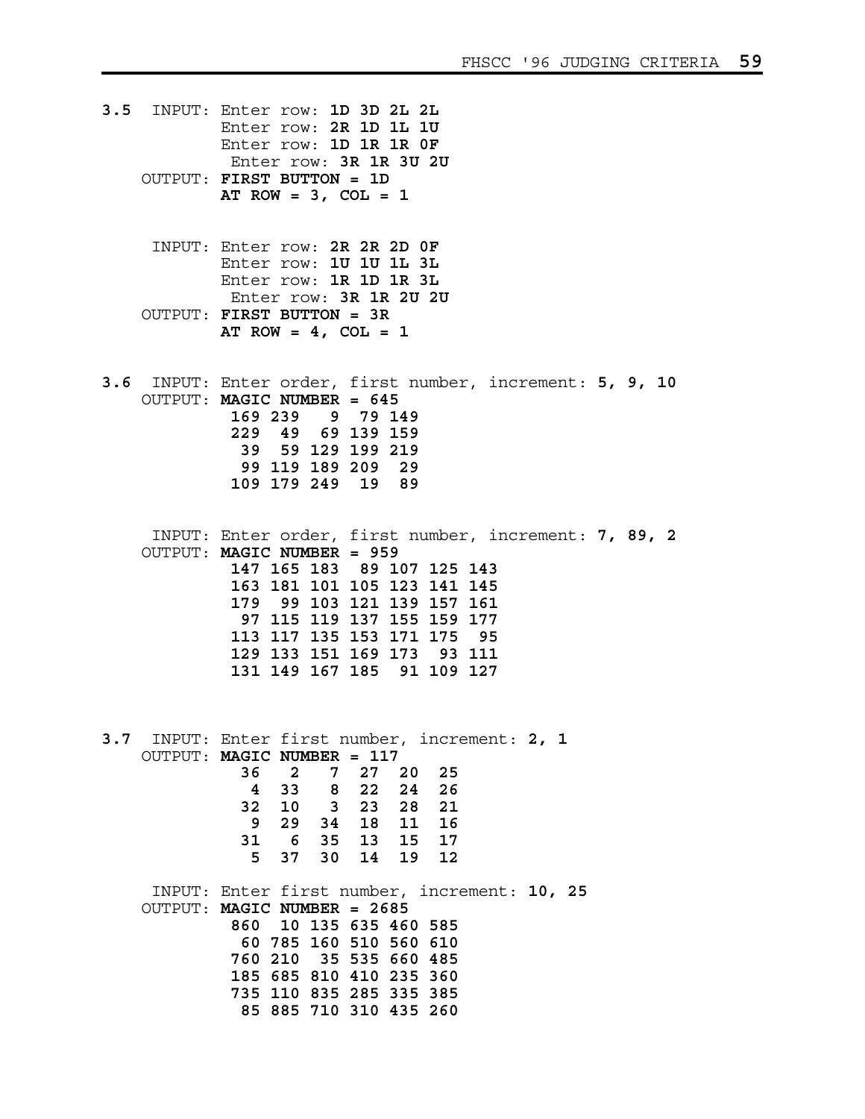- **3.5** INPUT: Enter row: **1D 3D 2L 2L** Enter row: **2R 1D 1L 1U** Enter row: **1D 1R 1R 0F** Enter row: **3R 1R 3U 2U** OUTPUT: **FIRST BUTTON = 1D AT ROW = 3, COL = 1**
	- INPUT: Enter row: **2R 2R 2D 0F** Enter row: **1U 1U 1L 3L** Enter row: **1R 1D 1R 3L** Enter row: **3R 1R 2U 2U** OUTPUT: **FIRST BUTTON = 3R AT ROW = 4, COL = 1**
- **3.6** INPUT: Enter order, first number, increment: **5, 9, 10** OUTPUT: **MAGIC NUMBER = 645 169 239 9 79 149 229 49 69 139 159 39 59 129 199 219 99 119 189 209 29 109 179 249 19 89**
	- INPUT: Enter order, first number, increment: **7, 89, 2** OUTPUT: **MAGIC NUMBER = 959 147 165 183 89 107 125 143 163 181 101 105 123 141 145 179 99 103 121 139 157 161 97 115 119 137 155 159 177 113 117 135 153 171 175 95 129 133 151 169 173 93 111 131 149 167 185 91 109 127**
- **3.7** INPUT: Enter first number, increment: **2, 1** OUTPUT: **MAGIC NUMBER = 117 36 2 7 27 20 25 4 33 8 22 24 26 32 10 3 23 28 21 9 29 34 18 11 16 31 6 35 13 15 17 5 37 30 14 19 12** INPUT: Enter first number, increment: **10, 25**

 OUTPUT: **MAGIC NUMBER = 2685 860 10 135 635 460 585 60 785 160 510 560 610 760 210 35 535 660 485 185 685 810 410 235 360 735 110 835 285 335 385 85 885 710 310 435 260**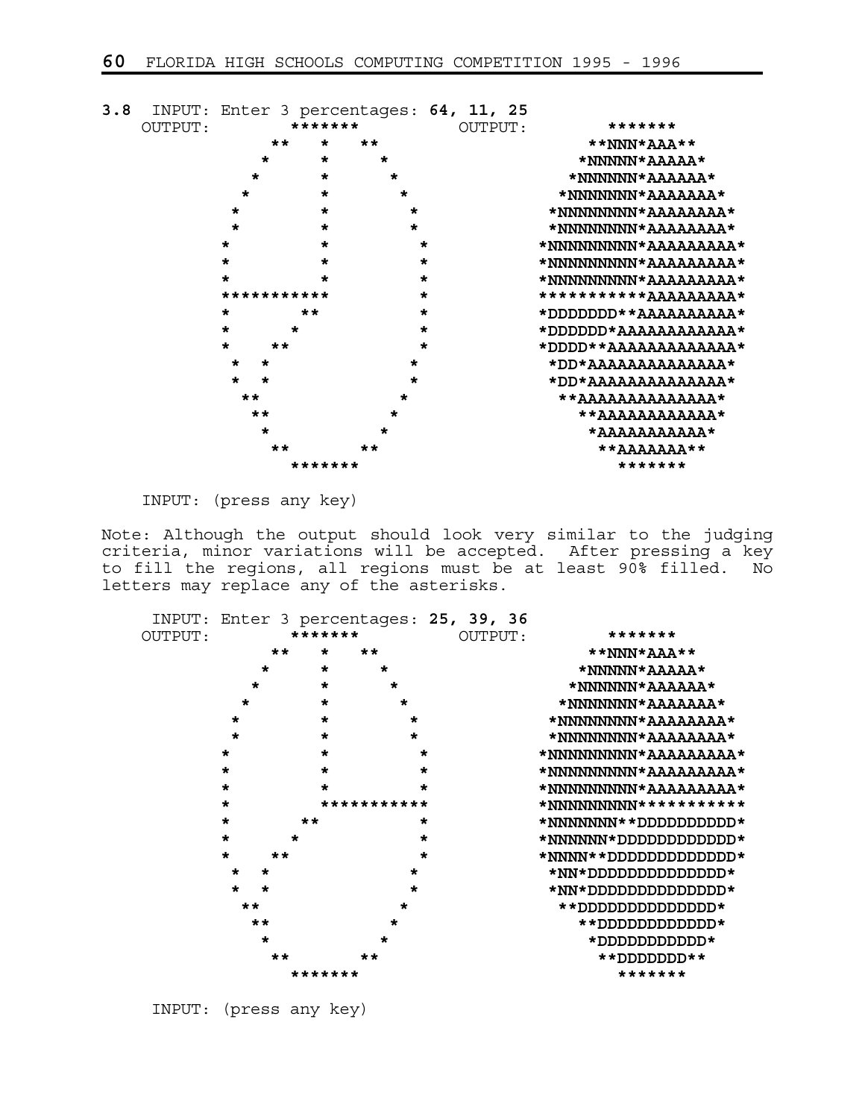

INPUT: (press any key)

Note: Although the output should look very similar to the judging criteria, minor variations will be accepted. After pressing a key to fill the regions, all regions must be at least 90% filled. No letters may replace any of the asterisks.

|         |                                    |         |             | INPUT: Enter 3 percentages: 25, 39, 36 |                       |
|---------|------------------------------------|---------|-------------|----------------------------------------|-----------------------|
| OUTPUT: | *******<br>OUTPUT:                 |         |             |                                        | *******               |
|         | $**$                               | $\star$ | $**$        |                                        | **NNN*AAA**           |
|         | $\star$                            | $\star$ | $\star$     |                                        | *NNNNN*AAAAA*         |
|         | $\star$                            | $\star$ | $\star$     |                                        | *NNNNNN*AAAAAA*       |
|         | $\star$                            | $\star$ | $\star$     |                                        | *NNNNNNN*AAAAAA*      |
|         | $\star$                            | $\star$ | *           |                                        | *NNNNNNNN*AAAAAAA*    |
|         | $\star$                            | $\star$ | $\star$     |                                        | *NNNNNNNN*AAAAAAA*    |
|         | $\star$                            | $\star$ | $\star$     |                                        | *NNNNNNNNN*AAAAAAAA*  |
|         | $\star$                            | $\star$ | $\star$     |                                        | *NNNNNNNNN*AAAAAAAA*  |
|         | $\star$                            | $\star$ |             |                                        | *NNNNNNNNN*AAAAAAAA*  |
|         | $\star$                            |         | *********** |                                        | *NNNNNNNN***********  |
|         | $\star$                            | $**$    | $\star$     |                                        | *NNNNNNN**DDDDOODDD*  |
|         | $\star$                            | *       | $\star$     |                                        | *NNNNNN*DDDDDDDDDDDD# |
|         | $\star$<br>$\star\star$            |         | $\star$     |                                        | *NNNN**DDDDDDDDDDDD#  |
|         | $\star$<br>$\star$                 |         | $\star$     |                                        | $*NN*DDDDDDDDDDDDD*$  |
|         | $\star$<br>$\star$<br>$**$<br>$**$ |         |             |                                        | *NN*DOOOOOOOOOOOOO    |
|         |                                    |         |             |                                        | ∗מסססססססםם את א      |
|         |                                    |         |             |                                        | **DDDDDDDDDDD#        |
|         | $\star$                            |         | *           |                                        | $*$ םממממממממש $*$    |
|         | **                                 |         |             |                                        | **DDDDDDD**           |
|         |                                    | ******* |             |                                        | *******               |

INPUT: (press any key)